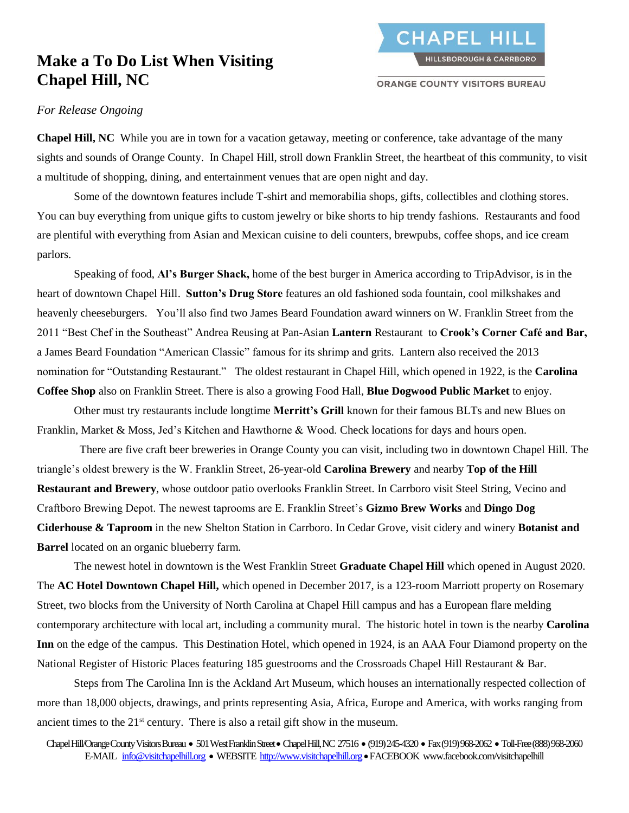## **Make a To Do List When Visiting Chapel Hill, NC**

**ORANGE COUNTY VISITORS BUREAU** 

## *For Release Ongoing*

**Chapel Hill, NC** While you are in town for a vacation getaway, meeting or conference, take advantage of the many sights and sounds of Orange County. In Chapel Hill, stroll down Franklin Street, the heartbeat of this community, to visit a multitude of shopping, dining, and entertainment venues that are open night and day.

Some of the downtown features include T-shirt and memorabilia shops, gifts, collectibles and clothing stores. You can buy everything from unique gifts to custom jewelry or bike shorts to hip trendy fashions. Restaurants and food are plentiful with everything from Asian and Mexican cuisine to deli counters, brewpubs, coffee shops, and ice cream parlors.

Speaking of food, **Al's Burger Shack,** home of the best burger in America according to TripAdvisor, is in the heart of downtown Chapel Hill. **Sutton's Drug Store** features an old fashioned soda fountain, cool milkshakes and heavenly cheeseburgers. You'll also find two James Beard Foundation award winners on W. Franklin Street from the 2011 "Best Chef in the Southeast" Andrea Reusing at Pan-Asian **Lantern** Restaurant to **Crook's Corner Café and Bar,** a James Beard Foundation "American Classic" famous for its shrimp and grits. Lantern also received the 2013 nomination for "Outstanding Restaurant." The oldest restaurant in Chapel Hill, which opened in 1922, is the **Carolina Coffee Shop** also on Franklin Street. There is also a growing Food Hall, **Blue Dogwood Public Market** to enjoy.

Other must try restaurants include longtime **Merritt's Grill** known for their famous BLTs and new Blues on Franklin, Market & Moss, Jed's Kitchen and Hawthorne & Wood. Check locations for days and hours open.

 There are five craft beer breweries in Orange County you can visit, including two in downtown Chapel Hill. The triangle's oldest brewery is the W. Franklin Street, 26-year-old **Carolina Brewery** and nearby **Top of the Hill Restaurant and Brewery**, whose outdoor patio overlooks Franklin Street. In Carrboro visit Steel String, Vecino and Craftboro Brewing Depot. The newest taprooms are E. Franklin Street's **Gizmo Brew Works** and **Dingo Dog Ciderhouse & Taproom** in the new Shelton Station in Carrboro. In Cedar Grove, visit cidery and winery **Botanist and Barrel** located on an organic blueberry farm.

The newest hotel in downtown is the West Franklin Street **Graduate Chapel Hill** which opened in August 2020. The **AC Hotel Downtown Chapel Hill,** which opened in December 2017, is a 123-room Marriott property on Rosemary Street, two blocks from the University of North Carolina at Chapel Hill campus and has a European flare melding contemporary architecture with local art, including a community mural. The historic hotel in town is the nearby **Carolina Inn** on the edge of the campus. This Destination Hotel, which opened in 1924, is an AAA Four Diamond property on the National Register of Historic Places featuring 185 guestrooms and the Crossroads Chapel Hill Restaurant & Bar.

Steps from The Carolina Inn is the Ackland Art Museum, which houses an internationally respected collection of more than 18,000 objects, drawings, and prints representing Asia, Africa, Europe and America, with works ranging from ancient times to the  $21<sup>st</sup>$  century. There is also a retail gift show in the museum.

Chapel Hill/Orange County Visitors Bureau • 501 West Franklin Street • Chapel Hill, NC 27516 • (919) 245-4320 • Fax (919) 968-2062 • Toll-Free (888) 968-2060 E-MAIL [info@visitchapelhill.org](mailto:info@chocvb.org) • WEBSITE [http://www.visitchapelhill.org](http://www.visitchapelhill.org/) • FACEBOOK www.facebook.com/visitchapelhill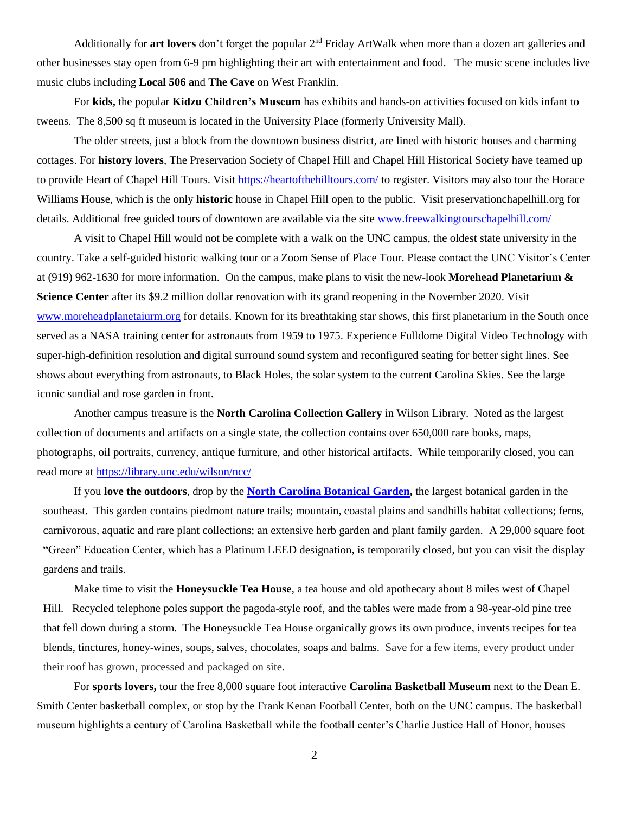Additionally for **art lovers** don't forget the popular 2nd Friday ArtWalk when more than a dozen art galleries and other businesses stay open from 6-9 pm highlighting their art with entertainment and food. The music scene includes live music clubs including **Local 506 a**nd **The Cave** on West Franklin.

For **kids,** the popular **Kidzu Children's Museum** has exhibits and hands-on activities focused on kids infant to tweens. The 8,500 sq ft museum is located in the University Place (formerly University Mall).

The older streets, just a block from the downtown business district, are lined with historic houses and charming cottages. For **history lovers**, The Preservation Society of Chapel Hill and Chapel Hill Historical Society have teamed up to provide Heart of Chapel Hill Tours. Visit<https://heartofthehilltours.com/> to register. Visitors may also tour the Horace Williams House, which is the only **historic** house in Chapel Hill open to the public. Visit preservationchapelhill.org for details. Additional free guided tours of downtown are available via the site [www.freewalkingtourschapelhill.com/](http://www.freewalkingtourschapelhill.com/)

A visit to Chapel Hill would not be complete with a walk on the UNC campus, the oldest state university in the country. Take a self-guided historic walking tour or a Zoom Sense of Place Tour. Please contact the UNC Visitor's Center at (919) 962-1630 for more information. On the campus, make plans to visit the new-look **Morehead Planetarium & Science Center** after its \$9.2 million dollar renovation with its grand reopening in the November 2020. Visit [www.moreheadplanetaiurm.org](http://www.moreheadplanetaiurm.org/) for details. Known for its breathtaking star shows, this first planetarium in the South once served as a NASA training center for astronauts from 1959 to 1975. Experience Fulldome Digital Video Technology with super-high-definition resolution and digital surround sound system and reconfigured seating for better sight lines. See shows about everything from astronauts, to Black Holes, the solar system to the current Carolina Skies. See the large iconic sundial and rose garden in front.

Another campus treasure is the **North Carolina Collection Gallery** in Wilson Library. Noted as the largest collection of documents and artifacts on a single state, the collection contains over 650,000 rare books, maps, photographs, oil portraits, currency, antique furniture, and other historical artifacts. While temporarily closed, you can read more at<https://library.unc.edu/wilson/ncc/>

If you **love the outdoors**, drop by the **[North Carolina Botanical Garden,](https://ncbg.unc.edu/)** the largest botanical garden in the southeast. This garden contains piedmont nature trails; mountain, coastal plains and sandhills habitat collections; ferns, carnivorous, aquatic and rare plant collections; an extensive herb garden and plant family garden. A 29,000 square foot "Green" Education Center, which has a Platinum LEED designation, is temporarily closed, but you can visit the display gardens and trails.

Make time to visit the **Honeysuckle Tea House**, a tea house and old apothecary about 8 miles west of Chapel Hill. Recycled telephone poles support the pagoda-style roof, and the tables were made from a 98-year-old pine tree that fell down during a storm. The Honeysuckle Tea House organically grows its own produce, invents recipes for tea blends, tinctures, honey-wines, soups, salves, chocolates, soaps and balms. Save for a few items, every product under their roof has grown, processed and packaged on site.

For **sports lovers,** tour the free 8,000 square foot interactive **Carolina Basketball Museum** next to the Dean E. Smith Center basketball complex, or stop by the Frank Kenan Football Center, both on the UNC campus. The basketball museum highlights a century of Carolina Basketball while the football center's Charlie Justice Hall of Honor, houses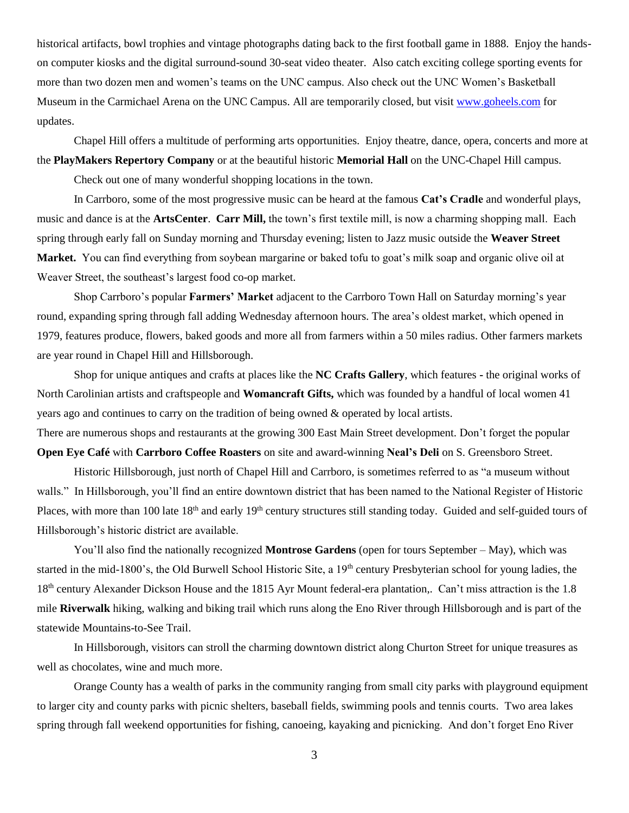historical artifacts, bowl trophies and vintage photographs dating back to the first football game in 1888. Enjoy the handson computer kiosks and the digital surround-sound 30-seat video theater. Also catch exciting college sporting events for more than two dozen men and women's teams on the UNC campus. Also check out the UNC Women's Basketball Museum in the Carmichael Arena on the UNC Campus. All are temporarily closed, but visit [www.goheels.com](http://www.goheels.com/) for updates.

Chapel Hill offers a multitude of performing arts opportunities. Enjoy theatre, dance, opera, concerts and more at the **PlayMakers Repertory Company** or at the beautiful historic **Memorial Hall** on the UNC-Chapel Hill campus.

Check out one of many wonderful shopping locations in the town.

In Carrboro, some of the most progressive music can be heard at the famous **Cat's Cradle** and wonderful plays, music and dance is at the **ArtsCenter**. **Carr Mill,** the town's first textile mill, is now a charming shopping mall. Each spring through early fall on Sunday morning and Thursday evening; listen to Jazz music outside the **Weaver Street Market.** You can find everything from soybean margarine or baked tofu to goat's milk soap and organic olive oil at Weaver Street, the southeast's largest food co-op market.

Shop Carrboro's popular **Farmers' Market** adjacent to the Carrboro Town Hall on Saturday morning's year round, expanding spring through fall adding Wednesday afternoon hours. The area's oldest market, which opened in 1979, features produce, flowers, baked goods and more all from farmers within a 50 miles radius. Other farmers markets are year round in Chapel Hill and Hillsborough.

Shop for unique antiques and crafts at places like the **NC Crafts Gallery**, which features **-** the original works of North Carolinian artists and craftspeople and **Womancraft Gifts,** which was founded by a handful of local women 41 years ago and continues to carry on the tradition of being owned & operated by local artists. There are numerous shops and restaurants at the growing 300 East Main Street development. Don't forget the popular

## **Open Eye Café** with **Carrboro Coffee Roasters** on site and award-winning **Neal's Deli** on S. Greensboro Street.

Historic Hillsborough, just north of Chapel Hill and Carrboro, is sometimes referred to as "a museum without walls." In Hillsborough, you'll find an entire downtown district that has been named to the National Register of Historic Places, with more than 100 late 18<sup>th</sup> and early 19<sup>th</sup> century structures still standing today. Guided and self-guided tours of Hillsborough's historic district are available.

You'll also find the nationally recognized **Montrose Gardens** (open for tours September – May), which was started in the mid-1800's, the Old Burwell School Historic Site, a 19<sup>th</sup> century Presbyterian school for young ladies, the 18<sup>th</sup> century Alexander Dickson House and the 1815 Ayr Mount federal-era plantation,. Can't miss attraction is the 1.8 mile **Riverwalk** hiking, walking and biking trail which runs along the Eno River through Hillsborough and is part of the statewide Mountains-to-See Trail.

In Hillsborough, visitors can stroll the charming downtown district along Churton Street for unique treasures as well as chocolates, wine and much more.

Orange County has a wealth of parks in the community ranging from small city parks with playground equipment to larger city and county parks with picnic shelters, baseball fields, swimming pools and tennis courts. Two area lakes spring through fall weekend opportunities for fishing, canoeing, kayaking and picnicking. And don't forget Eno River